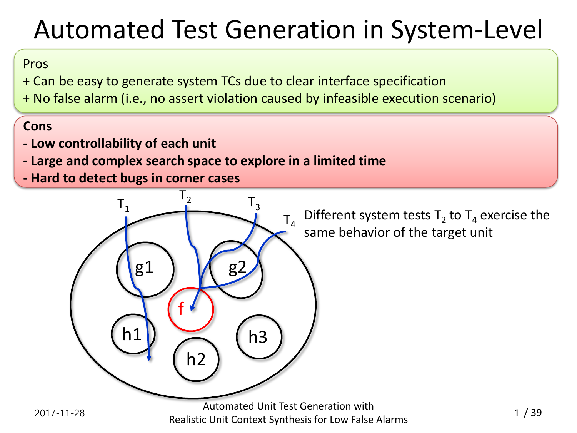# Automated Test Generation in System-Level

### Pros

+ Can be easy to generate system TCs due to clear interface specification

+ No false alarm (i.e., no assert violation caused by infeasible execution scenario)

### **Cons**

- **- Low controllability of each unit**
- **- Large and complex search space to explore in a limited time**
- **- Hard to detect bugs in corner cases**

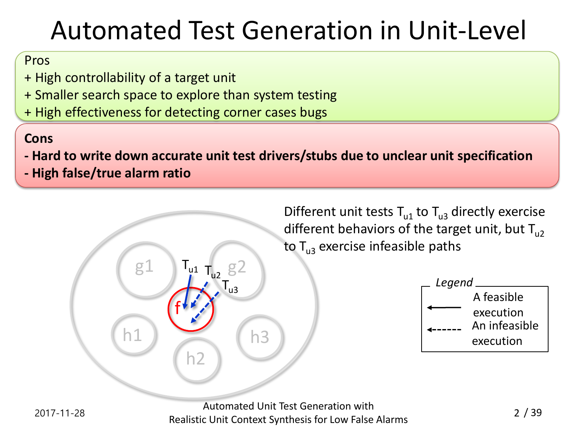# Automated Test Generation in Unit-Level

### Pros

- + High controllability of a target unit
- + Smaller search space to explore than system testing
- + High effectiveness for detecting corner cases bugs

### **Cons**

- **- Hard to write down accurate unit test drivers/stubs due to unclear unit specification**
- **- High false/true alarm ratio**

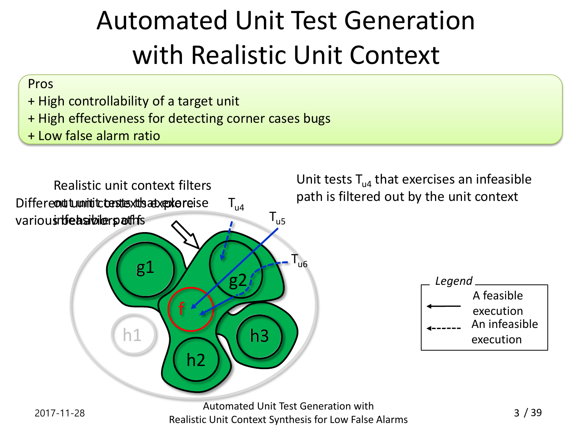# Automated Unit Test Generation with Realistic Unit Context

#### Pros

- + High controllability of a target unit
- + High effectiveness for detecting corner cases bugs
- + Low false alarm ratio



Realistic Unit Context Synthesis for Low False Alarms <sup>3</sup>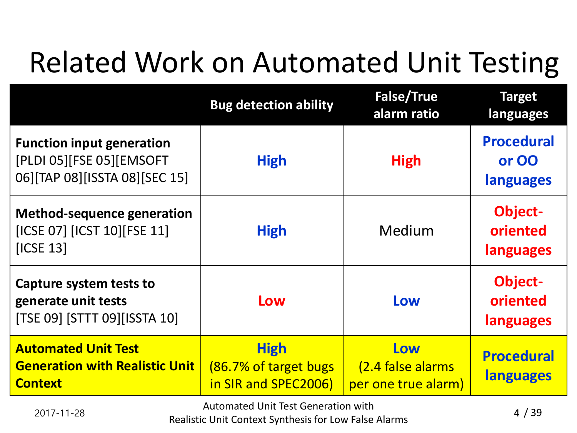# Related Work on Automated Unit Testing

|                                                                                               | <b>Bug detection ability</b>                                  | <b>False/True</b><br>alarm ratio                | <b>Target</b><br>languages              |
|-----------------------------------------------------------------------------------------------|---------------------------------------------------------------|-------------------------------------------------|-----------------------------------------|
| <b>Function input generation</b><br>[PLDI 05][FSE 05][EMSOFT<br>06][TAP 08][ISSTA 08][SEC 15] | <b>High</b>                                                   | <b>High</b>                                     | <b>Procedural</b><br>or OO<br>languages |
| <b>Method-sequence generation</b><br>[ICSE 07] [ICST 10] [FSE 11]<br>[ICSE 13]                | <b>High</b>                                                   | Medium                                          | Object-<br>oriented<br>languages        |
| Capture system tests to<br>generate unit tests<br>[TSE 09] [STTT 09] [ISSTA 10]               | Low                                                           | Low                                             | <b>Object-</b><br>oriented<br>languages |
| <b>Automated Unit Test</b><br><b>Generation with Realistic Unit</b><br><b>Context</b>         | <b>High</b><br>(86.7% of target bugs)<br>in SIR and SPEC2006) | Low<br>(2.4 false alarms<br>per one true alarm) | <b>Procedural</b><br><b>languages</b>   |

2017-11-28 Automated Unit Test Generation with

Realistic Unit Context Synthesis for Low False Alarms <sup>4</sup>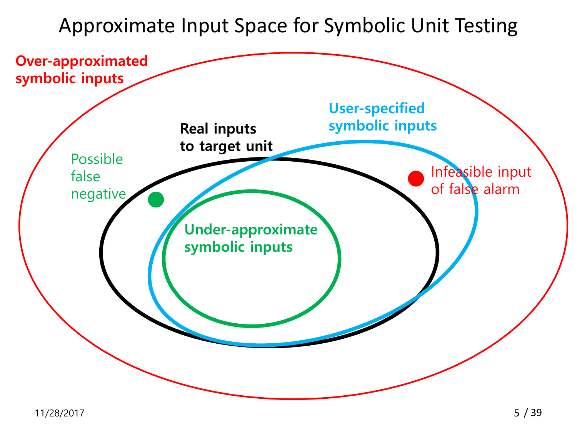Approximate Input Space for Symbolic Unit Testing

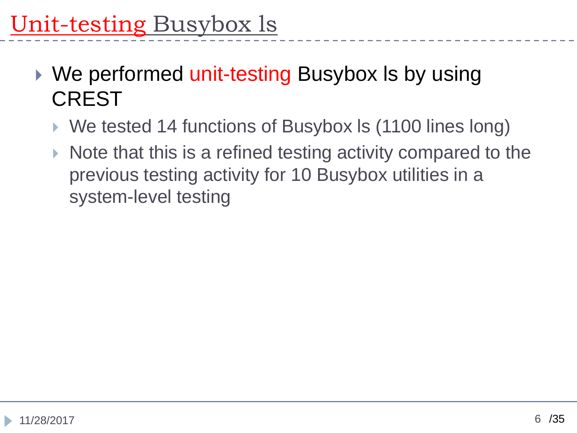- ▶ We performed unit-testing Busybox Is by using **CREST** 
	- ▶ We tested 14 functions of Busybox Is (1100 lines long)
	- $\triangleright$  Note that this is a refined testing activity compared to the previous testing activity for 10 Busybox utilities in a system-level testing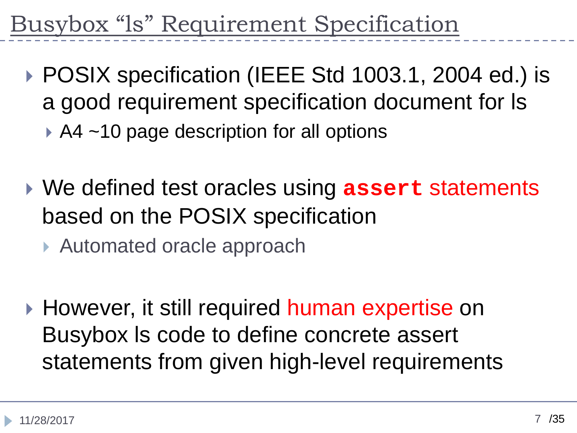# Busybox "ls" Requirement Specification

- ▶ POSIX specification (IEEE Std 1003.1, 2004 ed.) is a good requirement specification document for ls
	- ▶ A4 ~10 page description for all options
- We defined test oracles using **assert** statements based on the POSIX specification
	- ▶ Automated oracle approach
- ▶ However, it still required human expertise on Busybox ls code to define concrete assert statements from given high-level requirements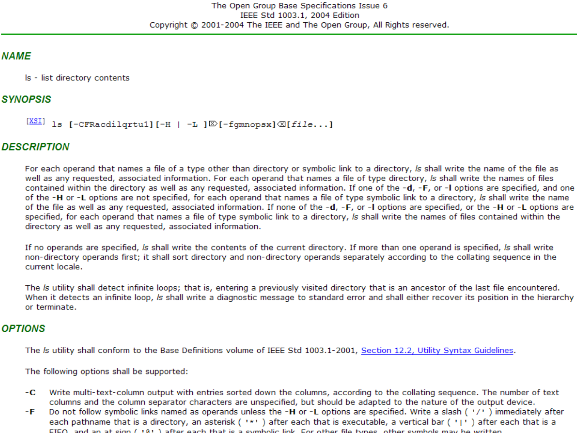#### **NAME**

Is - list directory contents

#### **SYNOPSIS**

```
[\frac{XSI}{S} 1s [-CFRacdilgrtu1][-H | -L ]\mathbb{D}[-fqmnopsx]\mathbb{Z}[file...]
```
#### **DESCRIPTION**

For each operand that names a file of a type other than directory or symbolic link to a directory, Is shall write the name of the file as well as any requested, associated information. For each operand that names a file of type directory, is shall write the names of files contained within the directory as well as any requested, associated information. If one of the -d, -F, or -I options are specified, and one of the -H or -L options are not specified, for each operand that names a file of type symbolic link to a directory, is shall write the name of the file as well as any requested, associated information. If none of the -d, -F, or -I options are specified, or the -H or -L options are specified, for each operand that names a file of type symbolic link to a directory, Is shall write the names of files contained within the directory as well as any requested, associated information.

If no operands are specified, is shall write the contents of the current directory. If more than one operand is specified, is shall write non-directory operands first; it shall sort directory and non-directory operands separately according to the collating sequence in the current locale.

The Is utility shall detect infinite loops; that is, entering a previously visited directory that is an ancestor of the last file encountered. When it detects an infinite loop, Is shall write a diagnostic message to standard error and shall either recover its position in the hierarchy or terminate.

#### **OPTIONS**

The Is utility shall conform to the Base Definitions volume of IEEE Std 1003.1-2001, Section 12.2, Utility Syntax Guidelines.

The following options shall be supported:

- Write multi-text-column output with entries sorted down the columns, according to the collating sequence. The number of text -C columns and the column separator characters are unspecified, but should be adapted to the nature of the output device.
- Do not follow symbolic links named as operands unless the -**H** or -**L** options are specified. Write a slash ( $'/$ ) immediately after each pathname that is a directory, an asterisk ( $'$ \*') after each that is executable, a v -F EIEO, and an at sign  $(181)$  after each that is a symbolic link. For other file types, other symbols may be written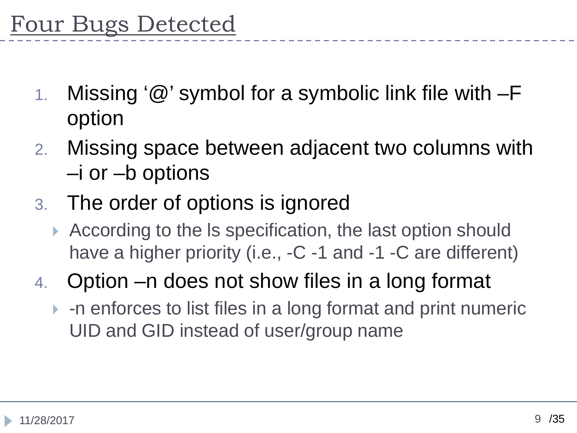- 1. Missing '@' symbol for a symbolic link file with –F option
- 2. Missing space between adjacent two columns with –i or –b options
- 3. The order of options is ignored
	- According to the ls specification, the last option should have a higher priority (i.e., -C -1 and -1 -C are different)
- 4. Option –n does not show files in a long format
	- -n enforces to list files in a long format and print numeric UID and GID instead of user/group name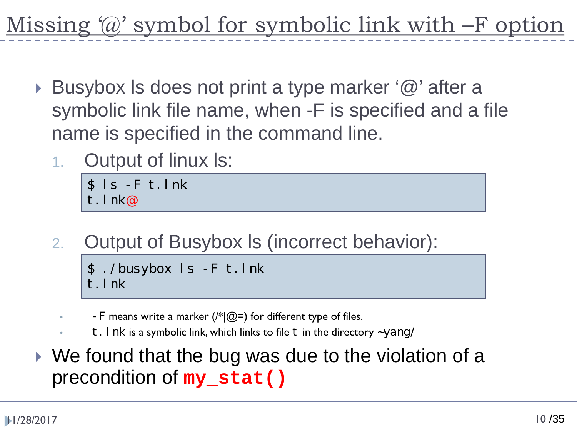Missing '@' symbol for symbolic link with –F option

- ▶ Busybox Is does not print a type marker '@' after a symbolic link file name, when -F is specified and a file name is specified in the command line.
	- 1. Output of linux ls:

\$ ls -F t.lnk t.lnk@

2. Output of Busybox ls (incorrect behavior):

```
$ ./busybox ls -F t.lnk
t.lnk
```
- F means write a marker ( $\frac{f*}{Q} =$ ) for different type of files.
- t. I nk is a symbolic link, which links to file t in the directory  $\sim$ yang/
- We found that the bug was due to the violation of a precondition of **my\_stat()**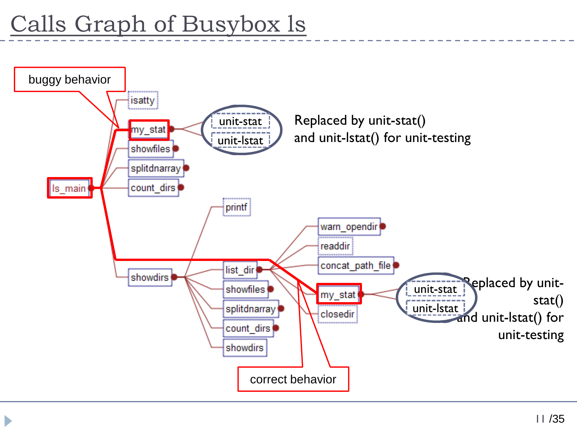$\blacktriangleright$ 

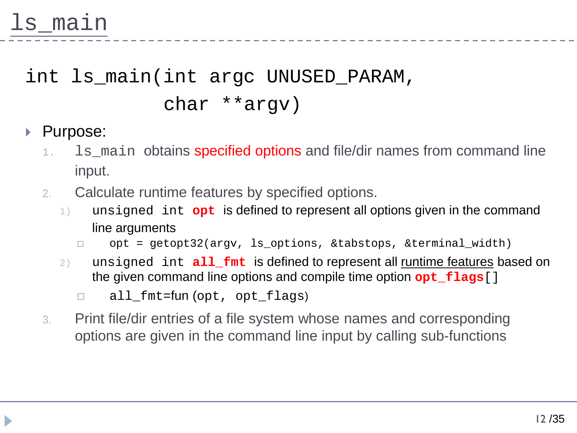## int ls\_main(int argc UNUSED\_PARAM, char \*\*argv)

## ▶ Purpose:

- 1. Is main obtains specified options and file/dir names from command line input.
- 2. Calculate runtime features by specified options.
	- 1) unsigned int **opt** is defined to represent all options given in the command line arguments
		- opt = getopt32(argv, ls\_options, &tabstops, &terminal\_width)
	- 2) unsigned int **all\_fmt** is defined to represent all runtime features based on the given command line options and compile time option **opt\_flags**[]
		- □ all\_fmt=fun(opt, opt\_flags)
- 3. Print file/dir entries of a file system whose names and corresponding options are given in the command line input by calling sub-functions

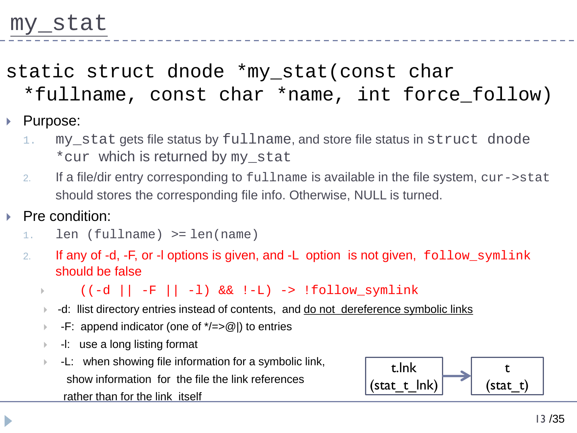# static struct dnode \*my\_stat(const char

\*fullname, const char \*name, int force\_follow)

## ▶ Purpose:

- 1. my\_stat gets file status by fullname, and store file status in struct dnode \*cur which is returned by my\_stat
- 2. If a file/dir entry corresponding to fullname is available in the file system, cur->stat should stores the corresponding file info. Otherwise, NULL is turned.

### Pre condition:

- 1. len (fullname) >= len(name)
- 2. If any of -d, -F, or -I options is given, and -L option is not given, follow\_symlink should be false
	- $((-d \mid -F \mid -1) \& (f^{-d} \mid \cdot))$
	- ▶ -d: llist directory entries instead of contents, and do not dereference symbolic links
	- F: append indicator (one of  $\angle t \rightarrow \textcircled{a}$ ) to entries
	- -l: use a long listing format
	- -L: when showing file information for a symbolic link, show information for the file the link references rather than for the link itself

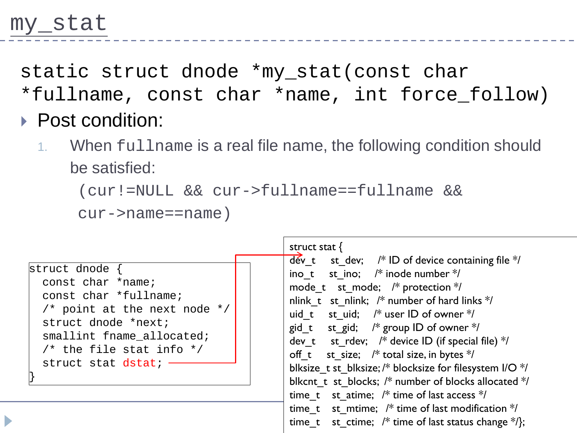static struct dnode \*my\_stat(const char

- \*fullname, const char \*name, int force\_follow)
- ▶ Post condition:
	- 1. When fullname is a real file name, the following condition should be satisfied:

(cur!=NULL && cur->fullname==fullname &&

cur->name==name)

| struct dnode {<br>const char *name;<br>const char *fullname;<br>/* point at the next node $*/$<br>struct dnode *next;<br>smallint fname allocated;<br>/* the file stat info $*/$<br>struct stat dstat; | struct stat $\{$<br>$\frac{1}{2}$ dév_t st_dev; /* ID of device containing file */<br>ino t st ino; $/*$ inode number $*/$<br>mode t st mode; $/*$ protection $*/$<br>nlink t st nlink; $/*$ number of hard links $*/$<br>uid t st uid; $/*$ user ID of owner $*/$<br>gid t st gid; $/*$ group ID of owner $*/$<br>dev t st rdev; $/*$ device ID (if special file) $*/$<br>off t st_size; /* total size, in bytes */<br>blksize_t st_blksize; /* blocksize for filesystem I/O */<br>blkcnt_t_st_blocks; /* number of blocks allocated */<br>time t st atime; $/*$ time of last access $*/$<br>time t st mtime; $/*$ time of last modification $*/$<br>time_t st_ctime; $/*$ time of last status change $*/$ }; |
|--------------------------------------------------------------------------------------------------------------------------------------------------------------------------------------------------------|----------------------------------------------------------------------------------------------------------------------------------------------------------------------------------------------------------------------------------------------------------------------------------------------------------------------------------------------------------------------------------------------------------------------------------------------------------------------------------------------------------------------------------------------------------------------------------------------------------------------------------------------------------------------------------------------------------------|
|--------------------------------------------------------------------------------------------------------------------------------------------------------------------------------------------------------|----------------------------------------------------------------------------------------------------------------------------------------------------------------------------------------------------------------------------------------------------------------------------------------------------------------------------------------------------------------------------------------------------------------------------------------------------------------------------------------------------------------------------------------------------------------------------------------------------------------------------------------------------------------------------------------------------------------|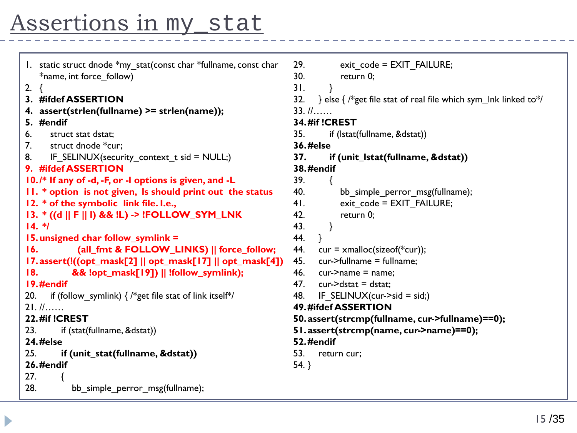## Assertions in my\_stat

| 1. static struct dnode *my_stat(const char *fullname, const char          | 29.<br>exit code = EXIT FAILURE;                                             |  |
|---------------------------------------------------------------------------|------------------------------------------------------------------------------|--|
| *name, int force follow)                                                  | 30.<br>return 0;                                                             |  |
| 2. $\{$                                                                   | 31.                                                                          |  |
| 3. #ifdef ASSERTION                                                       | } else { $/*$ get file stat of real file which sym_lnk linked to $*/$<br>32. |  |
| 4. assert(strlen(fullname) >= strlen(name));                              | $33. 11$                                                                     |  |
| 5. #endif                                                                 | <b>34. #if !CREST</b>                                                        |  |
| 6.<br>struct stat dstat;                                                  | if (Istat(fullname, &dstat))<br>35.                                          |  |
| struct dnode *cur;<br>7.                                                  | <b>36.#else</b>                                                              |  |
| IF_SELINUX(security_context_t sid = NULL;)<br>8.                          | 37.<br>if (unit_lstat(fullname, &dstat))                                     |  |
| 9. #ifdef ASSERTION                                                       | <b>38.#endif</b>                                                             |  |
| 10./* If any of -d, -F, or -I options is given, and -L                    | 39.                                                                          |  |
| 11. * option is not given, Is should print out the status                 | 40.<br>bb_simple_perror_msg(fullname);                                       |  |
| 12. * of the symbolic link file. I.e.,                                    | 41.<br>exit_code = EXIT_FAILURE;                                             |  |
| 13. * ((d    F    I) && !L) -> !FOLLOW_SYM_LNK                            | 42.<br>return 0;                                                             |  |
| $14.$ */                                                                  | 43.<br>}                                                                     |  |
| 15. unsigned char follow_symlink =                                        | 44.<br><sup>}</sup>                                                          |  |
| 16.<br>(all_fmt & FOLLOW_LINKS)    force_follow;                          | 44.<br>$cur = x$ malloc(sizeof(*cur));                                       |  |
| I7. assert(!((opt_mask[2]    opt_mask[17]    opt_mask[4])                 | cur->fullname = fullname;<br>45.                                             |  |
| && !opt_mask[19])    !follow_symlink);<br>18.                             | 46.<br>$cur$ ->name = name;                                                  |  |
| 19.#endif                                                                 | 47.<br>$cur$ ->dstat = dstat;                                                |  |
| if (follow symlink) $\frac{1}{2}$ /*get file stat of link itself*/<br>20. | IF SELINUX(cur->sid = sid;)<br>48.                                           |  |
| 21.11                                                                     | 49. #ifdef ASSERTION                                                         |  |
| 22.#if!CREST                                                              | 50. assert(strcmp(fullname, cur->fullname)==0);                              |  |
| 23.<br>if (stat(fullname, &dstat))                                        | 51.assert(strcmp(name, cur->name)==0);                                       |  |
| <b>24.#else</b>                                                           | 52.#endif                                                                    |  |
| 25.<br>if (unit_stat(fullname, &dstat))                                   | 53.<br>return cur;                                                           |  |
| 26.#endif                                                                 | $54.$ }                                                                      |  |
| 27.                                                                       |                                                                              |  |
| 28.<br>bb_simple_perror_msg(fullname);                                    |                                                                              |  |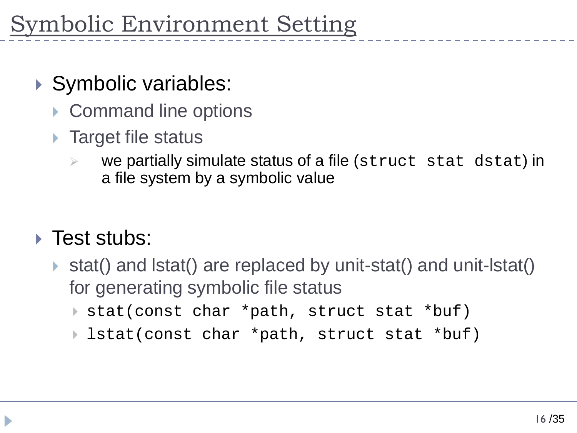- ▶ Symbolic variables:
	- ▶ Command line options
	- ▶ Target file status
		- we partially simulate status of a file (struct stat dstat) in a file system by a symbolic value

## ▶ Test stubs:

- stat() and lstat() are replaced by unit-stat() and unit-lstat() for generating symbolic file status
	- stat(const char \*path, struct stat \*buf)
	- lstat(const char \*path, struct stat \*buf)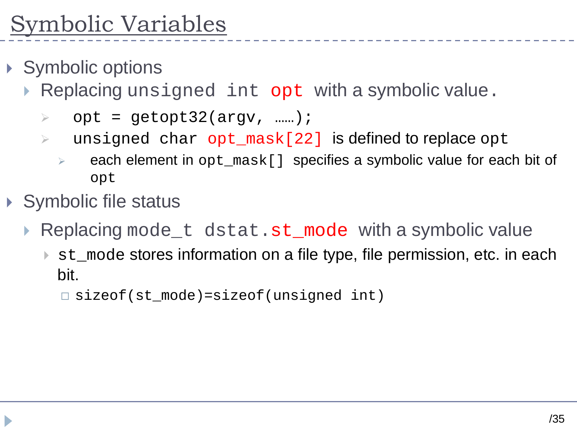- ▶ Symbolic options
	- Replacing unsigned int opt with a symbolic value.
		- $\triangleright$  opt = qetopt32(argv, ......);
		- $\triangleright$  unsigned char opt\_mask[22] is defined to replace opt
			- $\triangleright$  each element in opt mask [ ] specifies a symbolic value for each bit of opt
- Symbolic file status
	- Replacing mode\_t dstat.st\_mode with a symbolic value
		- ► st\_mode stores information on a file type, file permission, etc. in each bit.

sizeof(st\_mode)=sizeof(unsigned int)

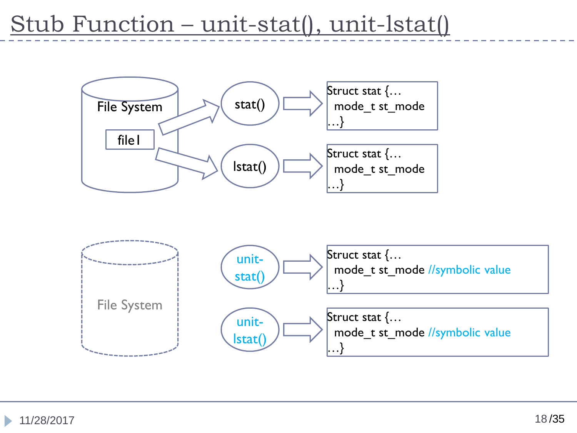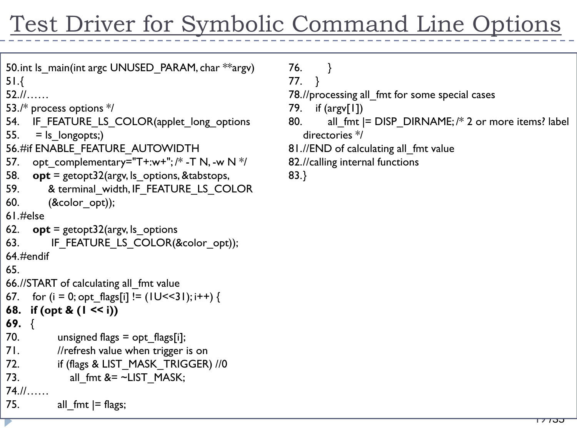# Test Driver for Symbolic Command Line Options

```
50.int ls_main(int argc UNUSED_PARAM, char **argv)
51.{
```

```
52.//……
```

```
53./* process options */
```
- 54. IF FEATURE LS COLOR(applet long options
- 55.  $=$  ls longopts;)
- 56.#if ENABLE\_FEATURE\_AUTOWIDTH
- 57. opt complementary="T+:w+"; /\* -T N, -w N  $*/$
- 58. **opt** = getopt32(argv, ls\_options, &tabstops,
- 59. & terminal\_width, IF\_FEATURE\_LS\_COLOR
- 60. (&color\_opt));

```
61.#else
```
62. **opt** = getopt $32$ (argv, ls options

```
63. IF FEATURE LS COLOR(&color opt));
64.#endif
```

```
65.
```

```
66.//START of calculating all_fmt value
```

```
67. for (i = 0; opt_flags[i] != (10 < 31); i++) {
```

```
68. if (opt & (1 << i))
```

```
69. {
```

```
70. unsigned flags = opt flags[i];
```
- 71. //refresh value when trigger is on
- 72. if (flags & LIST\_MASK\_TRIGGER) //0

```
73. all fmt <= ~LLIST MASK;
```

```
74.//……
```

```
75. all fmt |= flags;
```

```
76. }
```

```
77. }
```
78.//processing all fmt for some special cases

- 79. if (argv[1])
- 80. all fmt  $|=$  DISP DIRNAME;  $/*$  2 or more items? label directories \*/
- 81.//END of calculating all fmt value
- 82.//calling internal functions
- 83.}